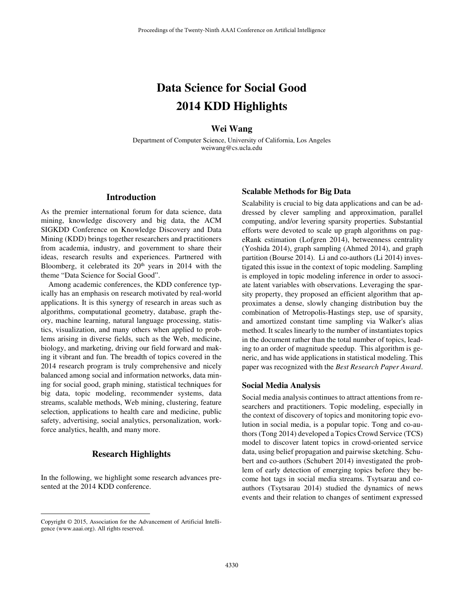# **Data Science for Social Good 2014 KDD Highlights**

## **Wei Wang**

Department of Computer Science, University of California, Los Angeles weiwang@cs.ucla.edu

## **Introduction**

As the premier international forum for data science, data mining, knowledge discovery and big data, the ACM SIGKDD Conference on Knowledge Discovery and Data Mining (KDD) brings together researchers and practitioners from academia, industry, and government to share their ideas, research results and experiences. Partnered with Bloomberg, it celebrated its  $20<sup>th</sup>$  years in 2014 with the theme "Data Science for Social Good".

 Among academic conferences, the KDD conference typically has an emphasis on research motivated by real-world applications. It is this synergy of research in areas such as algorithms, computational geometry, database, graph theory, machine learning, natural language processing, statistics, visualization, and many others when applied to problems arising in diverse fields, such as the Web, medicine, biology, and marketing, driving our field forward and making it vibrant and fun. The breadth of topics covered in the 2014 research program is truly comprehensive and nicely balanced among social and information networks, data mining for social good, graph mining, statistical techniques for big data, topic modeling, recommender systems, data streams, scalable methods, Web mining, clustering, feature selection, applications to health care and medicine, public safety, advertising, social analytics, personalization, workforce analytics, health, and many more.

## **Research Highlights**

In the following, we highlight some research advances presented at the 2014 KDD conference.

#### Copyright © 2015, Association for the Advancement of Artificial Intelligence (www.aaai.org). All rights reserved.

 $\overline{a}$ 

#### **Scalable Methods for Big Data**

Scalability is crucial to big data applications and can be addressed by clever sampling and approximation, parallel computing, and/or levering sparsity properties. Substantial efforts were devoted to scale up graph algorithms on pageRank estimation (Lofgren 2014), betweenness centrality (Yoshida 2014), graph sampling (Ahmed 2014), and graph partition (Bourse 2014). Li and co-authors (Li 2014) investigated this issue in the context of topic modeling. Sampling is employed in topic modeling inference in order to associate latent variables with observations. Leveraging the sparsity property, they proposed an efficient algorithm that approximates a dense, slowly changing distribution buy the combination of Metropolis-Hastings step, use of sparsity, and amortized constant time sampling via Walker's alias method. It scales linearly to the number of instantiates topics in the document rather than the total number of topics, leading to an order of magnitude speedup. This algorithm is generic, and has wide applications in statistical modeling. This paper was recognized with the *Best Research Paper Award*.

#### **Social Media Analysis**

Social media analysis continues to attract attentions from researchers and practitioners. Topic modeling, especially in the context of discovery of topics and monitoring topic evolution in social media, is a popular topic. Tong and co-authors (Tong 2014) developed a Topics Crowd Service (TCS) model to discover latent topics in crowd-oriented service data, using belief propagation and pairwise sketching. Schubert and co-authors (Schubert 2014) investigated the problem of early detection of emerging topics before they become hot tags in social media streams. Tsytsarau and coauthors (Tsytsarau 2014) studied the dynamics of news events and their relation to changes of sentiment expressed